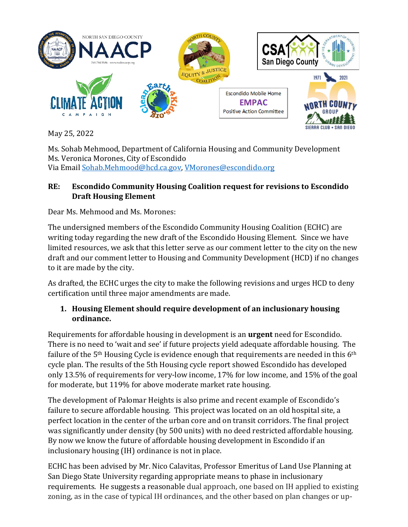

May 25, 2022

Ms. Sohab Mehmood, Department of California Housing and Community Development Ms. Veronica Morones, City of Escondido Via Email [Sohab.Mehmood@hcd.ca.gov,](mailto:Sohab.Mehmood@hcd.ca.gov) [VMorones@escondido.org](mailto:VMorones@escondido.org)

## **RE: Escondido Community Housing Coalition request for revisions to Escondido Draft Housing Element**

Dear Ms. Mehmood and Ms. Morones:

The undersigned members of the Escondido Community Housing Coalition (ECHC) are writing today regarding the new draft of the Escondido Housing Element. Since we have limited resources, we ask that this letter serve as our comment letter to the city on the new draft and our comment letter to Housing and Community Development (HCD) if no changes to it are made by the city.

As drafted, the ECHC urges the city to make the following revisions and urges HCD to deny certification until three major amendments are made.

## **1. Housing Element should require development of an inclusionary housing ordinance.**

Requirements for affordable housing in development is an **urgent** need for Escondido. There is no need to 'wait and see' if future projects yield adequate affordable housing. The failure of the  $5<sup>th</sup>$  Housing Cycle is evidence enough that requirements are needed in this 6<sup>th</sup> cycle plan. The results of the 5th Housing cycle report showed Escondido has developed only 13.5% of requirements for very-low income, 17% for low income, and 15% of the goal for moderate, but 119% for above moderate market rate housing.

The development of Palomar Heights is also prime and recent example of Escondido's failure to secure affordable housing. This project was located on an old hospital site, a perfect location in the center of the urban core and on transit corridors. The final project was significantly under density (by 500 units) with no deed restricted affordable housing. By now we know the future of affordable housing development in Escondido if an inclusionary housing (IH) ordinance is not in place.

ECHC has been advised by Mr. Nico Calavitas, Professor Emeritus of Land Use Planning at San Diego State University regarding appropriate means to phase in inclusionary requirements. He suggests a reasonable dual approach, one based on IH applied to existing zoning, as in the case of typical IH ordinances, and the other based on plan changes or up